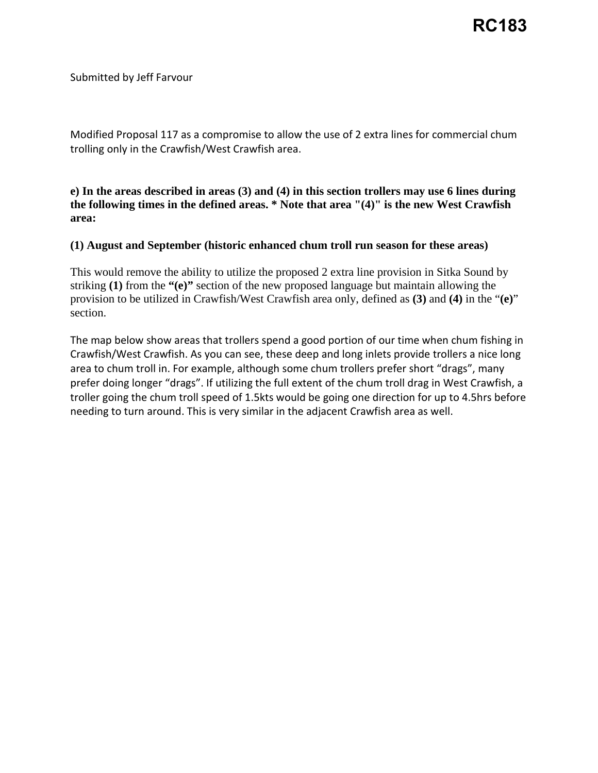## Submitted by Jeff Farvour

 Modified Proposal 117 as a compromise to allow the use of 2 extra lines for commercial chum trolling only in the Crawfish/West Crawfish area.

**e) In the areas described in areas (3) and (4) in this section trollers may use 6 lines during the following times in the defined areas. \* Note that area "(4)" is the new West Crawfish area:** 

## **(1) August and September (historic enhanced chum troll run season for these areas)**

This would remove the ability to utilize the proposed 2 extra line provision in Sitka Sound by striking **(1)** from the **"(e)"** section of the new proposed language but maintain allowing the provision to be utilized in Crawfish/West Crawfish area only, defined as **(3)** and **(4)** in the "**(e)**" section.

 Crawfish/West Crawfish. As you can see, these deep and long inlets provide trollers a nice long troller going the chum troll speed of 1.5kts would be going one direction for up to 4.5hrs before needing to turn around. This is very similar in the adjacent Crawfish area as well. The map below show areas that trollers spend a good portion of our time when chum fishing in area to chum troll in. For example, although some chum trollers prefer short "drags", many prefer doing longer "drags". If utilizing the full extent of the chum troll drag in West Crawfish, a